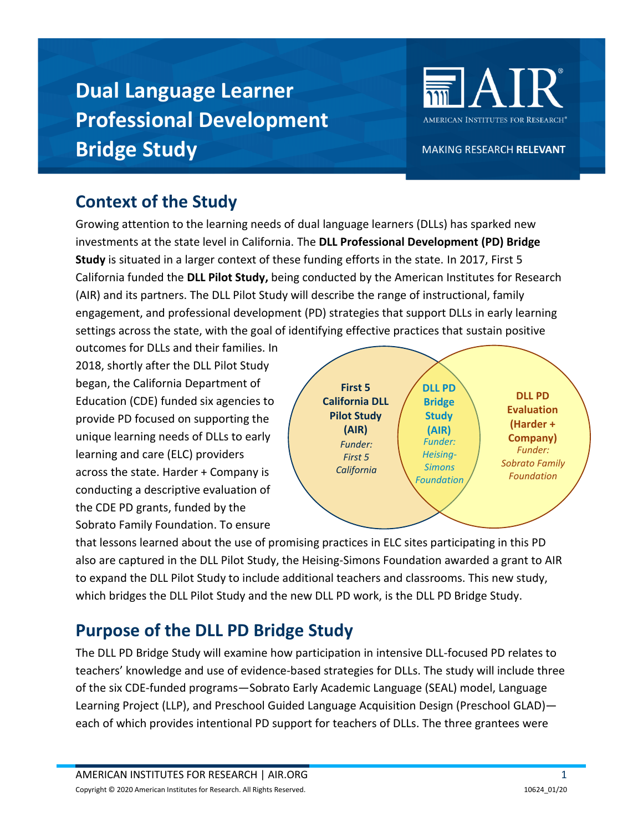# **Dual Language Learner Professional Development Bridge Study**



MAKING RESEARCH RELEVANT

## **Context of the Study**

Growing attention to the learning needs of dual language learners (DLLs) has sparked new investments at the state level in California. The **DLL Professional Development (PD) Bridge Study** is situated in a larger context of these funding efforts in the state. In 2017, First 5 California funded the **DLL Pilot Study,** being conducted by the American Institutes for Research (AIR) and its partners. The DLL Pilot Study will describe the range of instructional, family engagement, and professional development (PD) strategies that support DLLs in early learning settings across the state, with the goal of identifying effective practices that sustain positive

outcomes for DLLs and their families. In 2018, shortly after the DLL Pilot Study began, the California Department of Education (CDE) [funded six agencies](https://earlyedgecalifornia.org/dll-professional-development-funding-2018/https:/earlyedgecalifornia.org/dll-professional-development-funding-2018/) to provide PD focused on supporting the unique learning needs of DLLs to early learning and care (ELC) providers across the state. Harder + Company is conducting a descriptive evaluation of the CDE PD grants, funded by the Sobrato Family Foundation. To ensure



that lessons learned about the use of promising practices in ELC sites participating in this PD also are captured in the DLL Pilot Study, the Heising-Simons Foundation awarded a grant to AIR to expand the DLL Pilot Study to include additional teachers and classrooms. This new study, which bridges the DLL Pilot Study and the new DLL PD work, is the DLL PD Bridge Study.

## **Purpose of the DLL PD Bridge Study**

The DLL PD Bridge Study will examine how participation in intensive DLL-focused PD relates to teachers' knowledge and use of evidence-based strategies for DLLs. The study will include three of the six CDE-funded programs—Sobrato Early Academic Language (SEAL) model, Language Learning Project (LLP), and Preschool Guided Language Acquisition Design (Preschool GLAD) each of which provides intentional PD support for teachers of DLLs. The three grantees were